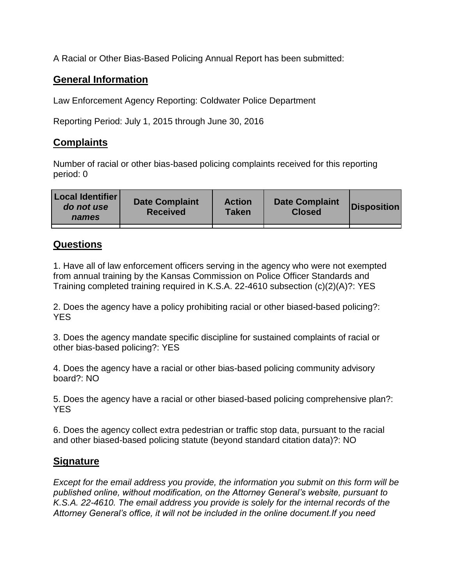A Racial or Other Bias-Based Policing Annual Report has been submitted:

## **General Information**

Law Enforcement Agency Reporting: Coldwater Police Department

Reporting Period: July 1, 2015 through June 30, 2016

## **Complaints**

Number of racial or other bias-based policing complaints received for this reporting period: 0

| <b>Local Identifier</b><br>do not use<br>names | <b>Date Complaint</b><br><b>Received</b> | <b>Action</b><br><b>Taken</b> | <b>Date Complaint</b><br><b>Closed</b> | Disposition |
|------------------------------------------------|------------------------------------------|-------------------------------|----------------------------------------|-------------|
|                                                |                                          |                               |                                        |             |

## **Questions**

1. Have all of law enforcement officers serving in the agency who were not exempted from annual training by the Kansas Commission on Police Officer Standards and Training completed training required in K.S.A. 22-4610 subsection (c)(2)(A)?: YES

2. Does the agency have a policy prohibiting racial or other biased-based policing?: YES

3. Does the agency mandate specific discipline for sustained complaints of racial or other bias-based policing?: YES

4. Does the agency have a racial or other bias-based policing community advisory board?: NO

5. Does the agency have a racial or other biased-based policing comprehensive plan?: YES

6. Does the agency collect extra pedestrian or traffic stop data, pursuant to the racial and other biased-based policing statute (beyond standard citation data)?: NO

## **Signature**

*Except for the email address you provide, the information you submit on this form will be published online, without modification, on the Attorney General's website, pursuant to K.S.A. 22-4610. The email address you provide is solely for the internal records of the Attorney General's office, it will not be included in the online document.If you need*